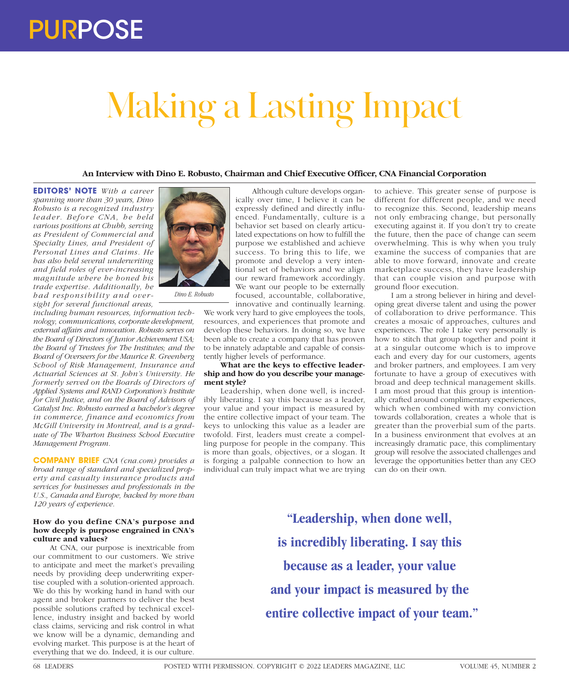# Making a Lasting Impact

# **An Interview with Dino E. Robusto, Chairman and Chief Executive Officer, CNA Financial Corporation**

**EDITORS' NOTE** *With a career spanning more than 30 years, Dino Robusto is a recognized industry leader. Before CNA, he held various positions at Chubb, serving as President of Commercial and Specialty Lines, and President of Personal Lines and Claims. He has also held several underwriting and field roles of ever-increasing magnitude where he honed his trade expertise. Additionally, he had responsibility and oversight for several functional areas,* 

*including human resources, information technology, communications, corporate development, external affairs and innovation. Robusto serves on the Board of Directors of Junior Achievement USA; the Board of Trustees for The Institutes; and the Board of Overseers for the Maurice R. Greenberg School of Risk Management, Insurance and Actuarial Sciences at St. John's University. He formerly served on the Boards of Directors of Applied Systems and RAND Corporation's Institute for Civil Justice, and on the Board of Advisors of Catalyst Inc. Robusto earned a bachelor's degree in commerce, finance and economics from McGill University in Montreal, and is a graduate of The Wharton Business School Executive Management Program.*

**COMPANY BRIEF** *CNA (cna.com) provides a broad range of standard and specialized property and casualty insurance products and services for businesses and professionals in the U.S., Canada and Europe, backed by more than 120 years of experience.*

## **How do you define CNA's purpose and how deeply is purpose engrained in CNA's culture and values?**

At CNA, our purpose is inextricable from our commitment to our customers. We strive to anticipate and meet the market's prevailing needs by providing deep underwriting expertise coupled with a solution-oriented approach. We do this by working hand in hand with our agent and broker partners to deliver the best possible solutions crafted by technical excellence, industry insight and backed by world class claims, servicing and risk control in what we know will be a dynamic, demanding and evolving market. This purpose is at the heart of everything that we do. Indeed, it is our culture.



innovative and continually learning. We work very hard to give employees the tools, resources, and experiences that promote and develop these behaviors. In doing so, we have been able to create a company that has proven to be innately adaptable and capable of consis-

#### tently higher levels of performance. **What are the keys to effective leadership and how do you describe your management style?**

Leadership, when done well, is incredibly liberating. I say this because as a leader, your value and your impact is measured by the entire collective impact of your team. The keys to unlocking this value as a leader are twofold. First, leaders must create a compelling purpose for people in the company. This is more than goals, objectives, or a slogan. It is forging a palpable connection to how an individual can truly impact what we are trying

to achieve. This greater sense of purpose is different for different people, and we need to recognize this. Second, leadership means not only embracing change, but personally executing against it. If you don't try to create the future, then the pace of change can seem overwhelming. This is why when you truly examine the success of companies that are able to move forward, innovate and create marketplace success, they have leadership that can couple vision and purpose with ground floor execution.

I am a strong believer in hiring and developing great diverse talent and using the power of collaboration to drive performance. This creates a mosaic of approaches, cultures and experiences. The role I take very personally is how to stitch that group together and point it at a singular outcome which is to improve each and every day for our customers, agents and broker partners, and employees. I am very fortunate to have a group of executives with broad and deep technical management skills. I am most proud that this group is intentionally crafted around complimentary experiences, which when combined with my conviction towards collaboration, creates a whole that is greater than the proverbial sum of the parts. In a business environment that evolves at an increasingly dramatic pace, this complimentary group will resolve the associated challenges and leverage the opportunities better than any CEO can do on their own.

**"Leadership, when done well, is incredibly liberating. I say this because as a leader, your value and your impact is measured by the entire collective impact of your team."**